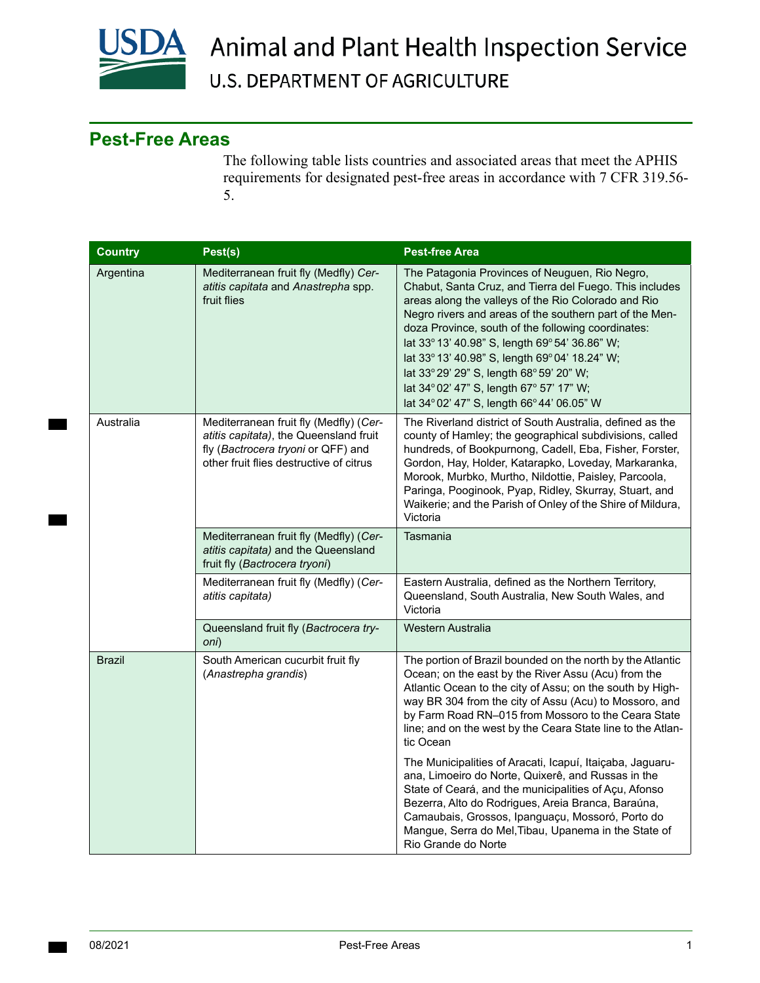

## Animal and Plant Health Inspection Service **U.S. DEPARTMENT OF AGRICULTURE**

## **Pest-Free Areas**

The following table lists countries and associated areas that meet the APHIS requirements for designated pest-free areas in accordance with 7 CFR 319.56- 5.

| <b>Country</b> | Pest(s)                                                                                                                                                           | <b>Pest-free Area</b>                                                                                                                                                                                                                                                                                                                                                                                                                                                                                                       |
|----------------|-------------------------------------------------------------------------------------------------------------------------------------------------------------------|-----------------------------------------------------------------------------------------------------------------------------------------------------------------------------------------------------------------------------------------------------------------------------------------------------------------------------------------------------------------------------------------------------------------------------------------------------------------------------------------------------------------------------|
| Argentina      | Mediterranean fruit fly (Medfly) Cer-<br>atitis capitata and Anastrepha spp.<br>fruit flies                                                                       | The Patagonia Provinces of Neuguen, Rio Negro,<br>Chabut, Santa Cruz, and Tierra del Fuego. This includes<br>areas along the valleys of the Rio Colorado and Rio<br>Negro rivers and areas of the southern part of the Men-<br>doza Province, south of the following coordinates:<br>lat 33° 13' 40.98" S, length 69° 54' 36.86" W;<br>lat 33° 13' 40.98" S, length 69° 04' 18.24" W;<br>lat 33° 29' 29" S, length 68° 59' 20" W;<br>lat 34° 02' 47" S, length 67° 57' 17" W;<br>lat 34° 02' 47" S, length 66° 44' 06.05" W |
| Australia      | Mediterranean fruit fly (Medfly) (Cer-<br>atitis capitata), the Queensland fruit<br>fly (Bactrocera tryoni or QFF) and<br>other fruit flies destructive of citrus | The Riverland district of South Australia, defined as the<br>county of Hamley; the geographical subdivisions, called<br>hundreds, of Bookpurnong, Cadell, Eba, Fisher, Forster,<br>Gordon, Hay, Holder, Katarapko, Loveday, Markaranka,<br>Morook, Murbko, Murtho, Nildottie, Paisley, Parcoola,<br>Paringa, Pooginook, Pyap, Ridley, Skurray, Stuart, and<br>Waikerie; and the Parish of Onley of the Shire of Mildura,<br>Victoria                                                                                        |
|                | Mediterranean fruit fly (Medfly) (Cer-<br>atitis capitata) and the Queensland<br>fruit fly (Bactrocera tryoni)                                                    | Tasmania                                                                                                                                                                                                                                                                                                                                                                                                                                                                                                                    |
|                | Mediterranean fruit fly (Medfly) (Cer-<br>atitis capitata)                                                                                                        | Eastern Australia, defined as the Northern Territory,<br>Queensland, South Australia, New South Wales, and<br>Victoria                                                                                                                                                                                                                                                                                                                                                                                                      |
|                | Queensland fruit fly (Bactrocera try-<br>oni)                                                                                                                     | Western Australia                                                                                                                                                                                                                                                                                                                                                                                                                                                                                                           |
| <b>Brazil</b>  | South American cucurbit fruit fly<br>(Anastrepha grandis)                                                                                                         | The portion of Brazil bounded on the north by the Atlantic<br>Ocean; on the east by the River Assu (Acu) from the<br>Atlantic Ocean to the city of Assu; on the south by High-<br>way BR 304 from the city of Assu (Acu) to Mossoro, and<br>by Farm Road RN-015 from Mossoro to the Ceara State<br>line; and on the west by the Ceara State line to the Atlan-<br>tic Ocean                                                                                                                                                 |
|                |                                                                                                                                                                   | The Municipalities of Aracati, Icapuí, Itaiçaba, Jaguaru-<br>ana, Limoeiro do Norte, Quixerê, and Russas in the<br>State of Ceará, and the municipalities of Açu, Afonso<br>Bezerra, Alto do Rodrigues, Areia Branca, Baraúna,<br>Camaubais, Grossos, Ipanguaçu, Mossoró, Porto do<br>Mangue, Serra do Mel, Tibau, Upanema in the State of<br>Rio Grande do Norte                                                                                                                                                           |

**The Contract of State**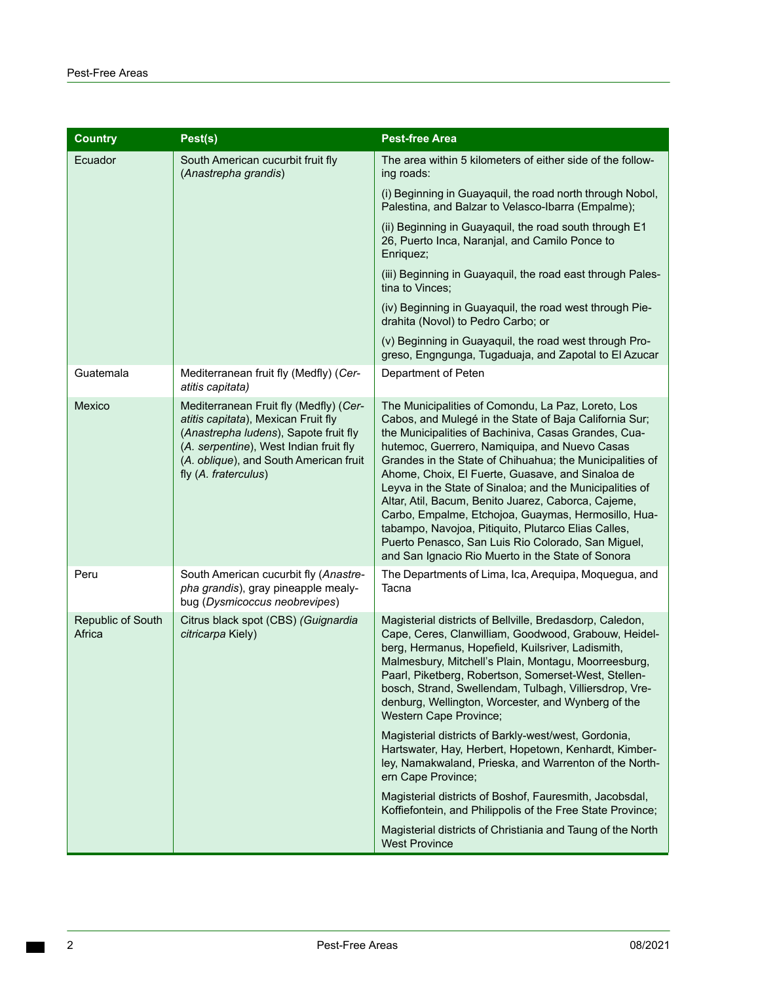| <b>Country</b>              | Pest(s)                                                                                                                                                                                                                            | <b>Pest-free Area</b>                                                                                                                                                                                                                                                                                                                                                                                                                                                                                                                                                                                                                                                             |
|-----------------------------|------------------------------------------------------------------------------------------------------------------------------------------------------------------------------------------------------------------------------------|-----------------------------------------------------------------------------------------------------------------------------------------------------------------------------------------------------------------------------------------------------------------------------------------------------------------------------------------------------------------------------------------------------------------------------------------------------------------------------------------------------------------------------------------------------------------------------------------------------------------------------------------------------------------------------------|
| Ecuador                     | South American cucurbit fruit fly<br>(Anastrepha grandis)                                                                                                                                                                          | The area within 5 kilometers of either side of the follow-<br>ing roads:                                                                                                                                                                                                                                                                                                                                                                                                                                                                                                                                                                                                          |
|                             |                                                                                                                                                                                                                                    | (i) Beginning in Guayaquil, the road north through Nobol,<br>Palestina, and Balzar to Velasco-Ibarra (Empalme);                                                                                                                                                                                                                                                                                                                                                                                                                                                                                                                                                                   |
|                             |                                                                                                                                                                                                                                    | (ii) Beginning in Guayaquil, the road south through E1<br>26, Puerto Inca, Naranjal, and Camilo Ponce to<br>Enriquez;                                                                                                                                                                                                                                                                                                                                                                                                                                                                                                                                                             |
|                             |                                                                                                                                                                                                                                    | (iii) Beginning in Guayaquil, the road east through Pales-<br>tina to Vinces;                                                                                                                                                                                                                                                                                                                                                                                                                                                                                                                                                                                                     |
|                             |                                                                                                                                                                                                                                    | (iv) Beginning in Guayaquil, the road west through Pie-<br>drahita (Novol) to Pedro Carbo; or                                                                                                                                                                                                                                                                                                                                                                                                                                                                                                                                                                                     |
|                             |                                                                                                                                                                                                                                    | (v) Beginning in Guayaquil, the road west through Pro-<br>greso, Engngunga, Tugaduaja, and Zapotal to El Azucar                                                                                                                                                                                                                                                                                                                                                                                                                                                                                                                                                                   |
| Guatemala                   | Mediterranean fruit fly (Medfly) (Cer-<br>atitis capitata)                                                                                                                                                                         | Department of Peten                                                                                                                                                                                                                                                                                                                                                                                                                                                                                                                                                                                                                                                               |
| Mexico                      | Mediterranean Fruit fly (Medfly) (Cer-<br>atitis capitata), Mexican Fruit fly<br>(Anastrepha ludens), Sapote fruit fly<br>(A. serpentine), West Indian fruit fly<br>(A. oblique), and South American fruit<br>fly (A. fraterculus) | The Municipalities of Comondu, La Paz, Loreto, Los<br>Cabos, and Mulegé in the State of Baja California Sur;<br>the Municipalities of Bachiniva, Casas Grandes, Cua-<br>hutemoc, Guerrero, Namiquipa, and Nuevo Casas<br>Grandes in the State of Chihuahua; the Municipalities of<br>Ahome, Choix, El Fuerte, Guasave, and Sinaloa de<br>Leyva in the State of Sinaloa; and the Municipalities of<br>Altar, Atil, Bacum, Benito Juarez, Caborca, Cajeme,<br>Carbo, Empalme, Etchojoa, Guaymas, Hermosillo, Hua-<br>tabampo, Navojoa, Pitiquito, Plutarco Elias Calles,<br>Puerto Penasco, San Luis Rio Colorado, San Miguel,<br>and San Ignacio Rio Muerto in the State of Sonora |
| Peru                        | South American cucurbit fly (Anastre-<br>pha grandis), gray pineapple mealy-<br>bug (Dysmicoccus neobrevipes)                                                                                                                      | The Departments of Lima, Ica, Arequipa, Moquegua, and<br>Tacna                                                                                                                                                                                                                                                                                                                                                                                                                                                                                                                                                                                                                    |
| Republic of South<br>Africa | Citrus black spot (CBS) (Guignardia<br>citricarpa Kiely)                                                                                                                                                                           | Magisterial districts of Bellville, Bredasdorp, Caledon,<br>Cape, Ceres, Clanwilliam, Goodwood, Grabouw, Heidel-<br>berg, Hermanus, Hopefield, Kuilsriver, Ladismith,<br>Malmesbury, Mitchell's Plain, Montagu, Moorreesburg,<br>Paarl, Piketberg, Robertson, Somerset-West, Stellen-<br>bosch, Strand, Swellendam, Tulbagh, Villiersdrop, Vre-<br>denburg, Wellington, Worcester, and Wynberg of the<br>Western Cape Province;                                                                                                                                                                                                                                                   |
|                             |                                                                                                                                                                                                                                    | Magisterial districts of Barkly-west/west, Gordonia,<br>Hartswater, Hay, Herbert, Hopetown, Kenhardt, Kimber-<br>ley, Namakwaland, Prieska, and Warrenton of the North-<br>ern Cape Province;                                                                                                                                                                                                                                                                                                                                                                                                                                                                                     |
|                             |                                                                                                                                                                                                                                    | Magisterial districts of Boshof, Fauresmith, Jacobsdal,<br>Koffiefontein, and Philippolis of the Free State Province;                                                                                                                                                                                                                                                                                                                                                                                                                                                                                                                                                             |
|                             |                                                                                                                                                                                                                                    | Magisterial districts of Christiania and Taung of the North<br><b>West Province</b>                                                                                                                                                                                                                                                                                                                                                                                                                                                                                                                                                                                               |